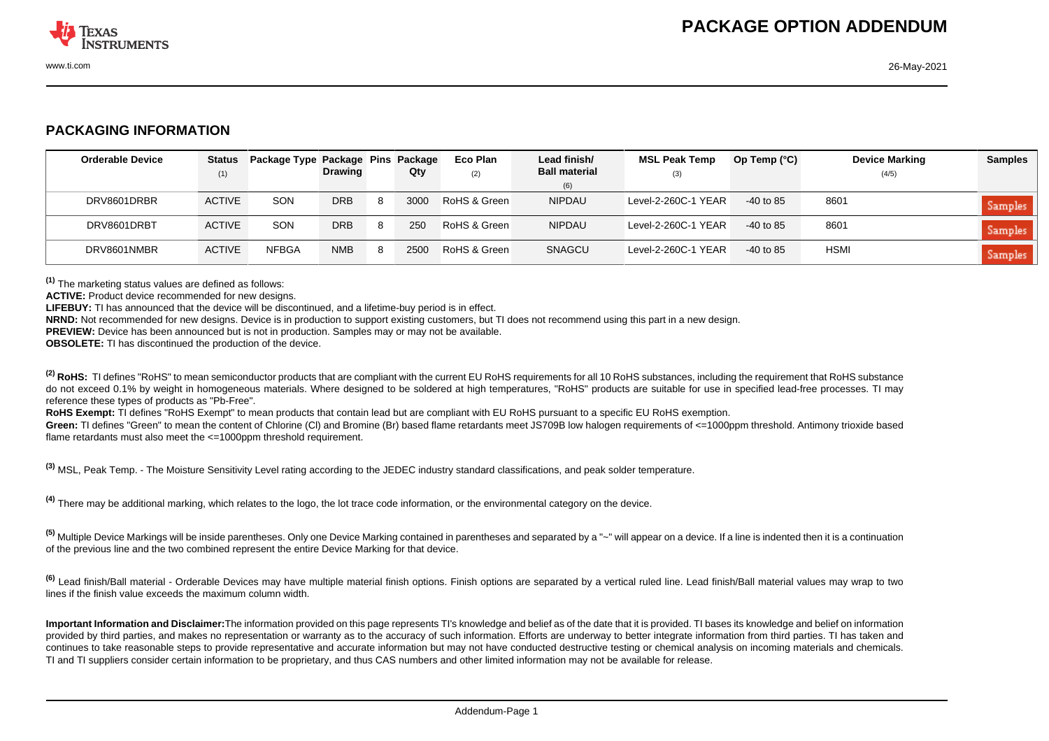

## **PACKAGING INFORMATION**

| <b>Orderable Device</b> | Status        | Package Type Package Pins Package |                |    |      | Eco Plan     | Lead finish/                | <b>MSL Peak Temp</b> | Op Temp $(^{\circ}C)$ | <b>Device Marking</b> | <b>Samples</b> |
|-------------------------|---------------|-----------------------------------|----------------|----|------|--------------|-----------------------------|----------------------|-----------------------|-----------------------|----------------|
|                         | (1)           |                                   | <b>Drawing</b> |    | Qty  | (2)          | <b>Ball material</b><br>(6) | (3)                  |                       | (4/5)                 |                |
| DRV8601DRBR             | <b>ACTIVE</b> | <b>SON</b>                        | <b>DRB</b>     | -8 | 3000 | RoHS & Green | <b>NIPDAU</b>               | Level-2-260C-1 YEAR  | $-40$ to 85           | 8601                  | Samples        |
| DRV8601DRBT             | <b>ACTIVE</b> | <b>SON</b>                        | <b>DRB</b>     | 8  | 250  | RoHS & Green | <b>NIPDAU</b>               | Level-2-260C-1 YEAR  | $-40$ to 85           | 8601                  | Samples        |
| DRV8601NMBR             | <b>ACTIVE</b> | <b>NFBGA</b>                      | <b>NMB</b>     | 8  | 2500 | RoHS & Green | SNAGCU                      | Level-2-260C-1 YEAR  | $-40$ to 85           | HSMI                  | Samples        |

**(1)** The marketing status values are defined as follows:

**ACTIVE:** Product device recommended for new designs.

**LIFEBUY:** TI has announced that the device will be discontinued, and a lifetime-buy period is in effect.

**NRND:** Not recommended for new designs. Device is in production to support existing customers, but TI does not recommend using this part in a new design.

**PREVIEW:** Device has been announced but is not in production. Samples may or may not be available.

**OBSOLETE:** TI has discontinued the production of the device.

<sup>(2)</sup> RoHS: TI defines "RoHS" to mean semiconductor products that are compliant with the current EU RoHS requirements for all 10 RoHS substances, including the requirement that RoHS substance do not exceed 0.1% by weight in homogeneous materials. Where designed to be soldered at high temperatures, "RoHS" products are suitable for use in specified lead-free processes. TI may reference these types of products as "Pb-Free".

RoHS Exempt: TI defines "RoHS Exempt" to mean products that contain lead but are compliant with EU RoHS pursuant to a specific EU RoHS exemption.

Green: TI defines "Green" to mean the content of Chlorine (CI) and Bromine (Br) based flame retardants meet JS709B low halogen requirements of <=1000ppm threshold. Antimony trioxide based flame retardants must also meet the <=1000ppm threshold requirement.

**(3)** MSL, Peak Temp. - The Moisture Sensitivity Level rating according to the JEDEC industry standard classifications, and peak solder temperature.

**(4)** There may be additional marking, which relates to the logo, the lot trace code information, or the environmental category on the device.

**(5)** Multiple Device Markings will be inside parentheses. Only one Device Marking contained in parentheses and separated by a "~" will appear on a device. If a line is indented then it is a continuation of the previous line and the two combined represent the entire Device Marking for that device.

**(6)** Lead finish/Ball material - Orderable Devices may have multiple material finish options. Finish options are separated by a vertical ruled line. Lead finish/Ball material values may wrap to two lines if the finish value exceeds the maximum column width.

**Important Information and Disclaimer:**The information provided on this page represents TI's knowledge and belief as of the date that it is provided. TI bases its knowledge and belief on information provided by third parties, and makes no representation or warranty as to the accuracy of such information. Efforts are underway to better integrate information from third parties. TI has taken and continues to take reasonable steps to provide representative and accurate information but may not have conducted destructive testing or chemical analysis on incoming materials and chemicals. TI and TI suppliers consider certain information to be proprietary, and thus CAS numbers and other limited information may not be available for release.